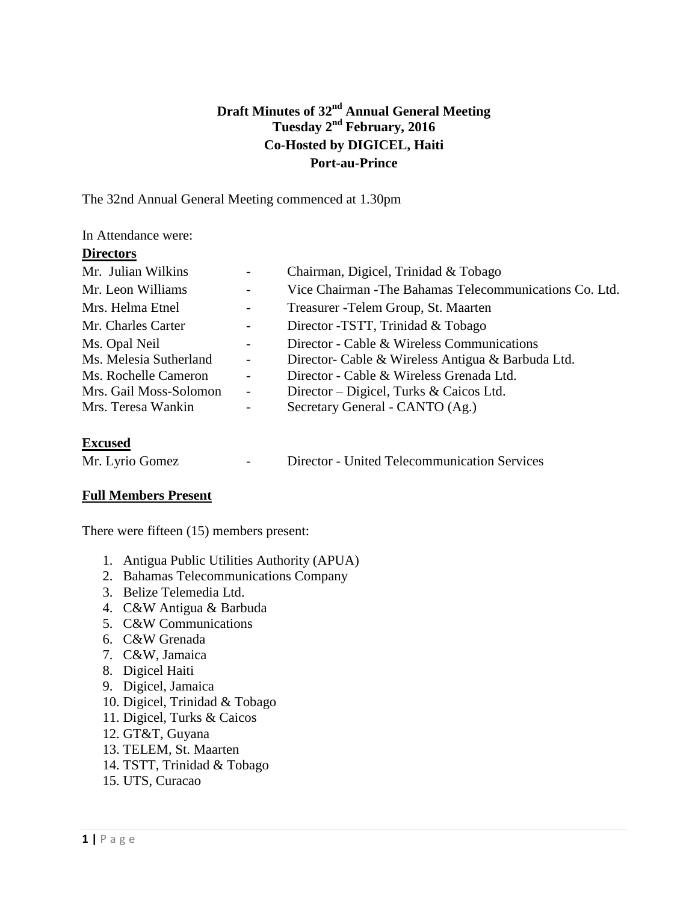# **Draft Minutes of 32 nd Annual General Meeting Tuesday 2 nd February, 2016 Co-Hosted by DIGICEL, Haiti Port-au-Prince**

The 32nd Annual General Meeting commenced at 1.30pm

| In Attendance were:    |                          |                                                         |  |
|------------------------|--------------------------|---------------------------------------------------------|--|
| <b>Directors</b>       |                          |                                                         |  |
| Mr. Julian Wilkins     |                          | Chairman, Digicel, Trinidad & Tobago                    |  |
| Mr. Leon Williams      |                          | Vice Chairman - The Bahamas Telecommunications Co. Ltd. |  |
| Mrs. Helma Etnel       |                          | Treasurer - Telem Group, St. Maarten                    |  |
| Mr. Charles Carter     | $\overline{\phantom{a}}$ | Director - TSTT, Trinidad & Tobago                      |  |
| Ms. Opal Neil          |                          | Director - Cable & Wireless Communications              |  |
| Ms. Melesia Sutherland |                          | Director- Cable & Wireless Antigua & Barbuda Ltd.       |  |
| Ms. Rochelle Cameron   | $\overline{\phantom{0}}$ | Director - Cable & Wireless Grenada Ltd.                |  |
| Mrs. Gail Moss-Solomon | $\overline{\phantom{a}}$ | Director – Digicel, Turks & Caicos Ltd.                 |  |
| Mrs. Teresa Wankin     |                          | Secretary General - CANTO (Ag.)                         |  |
| <b>Excused</b>         |                          |                                                         |  |
| Mr. Lyrio Gomez        |                          | Director - United Telecommunication Services            |  |

#### **Full Members Present**

There were fifteen (15) members present:

- 1. Antigua Public Utilities Authority (APUA)
- 2. Bahamas Telecommunications Company
- 3. Belize Telemedia Ltd.
- 4. C&W Antigua & Barbuda
- 5. C&W Communications
- 6. C&W Grenada
- 7. C&W, Jamaica
- 8. Digicel Haiti
- 9. Digicel, Jamaica
- 10. Digicel, Trinidad & Tobago
- 11. Digicel, Turks & Caicos
- 12. GT&T, Guyana
- 13. TELEM, St. Maarten
- 14. TSTT, Trinidad & Tobago
- 15. UTS, Curacao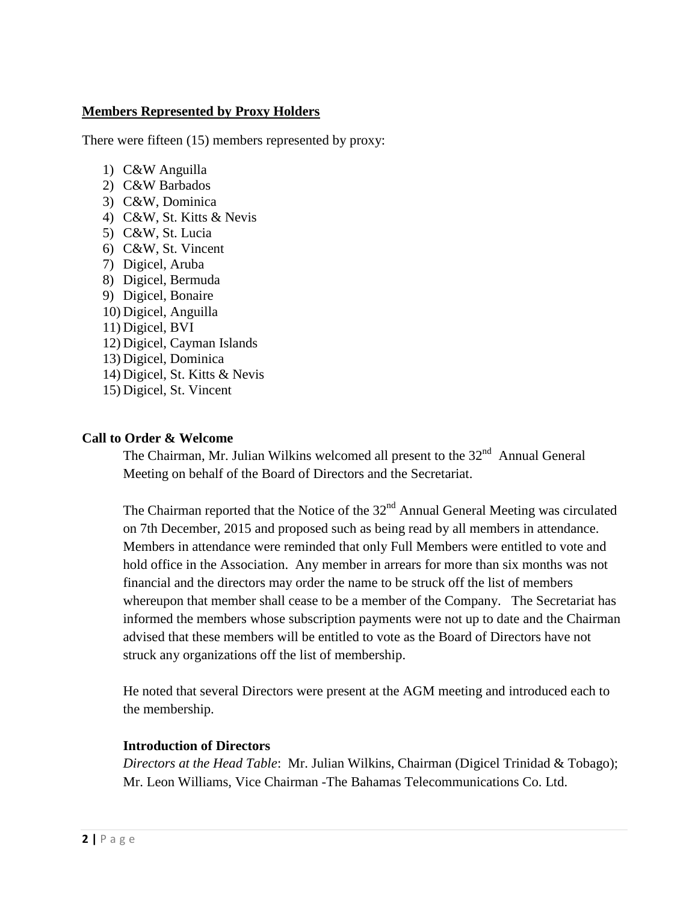#### **Members Represented by Proxy Holders**

There were fifteen (15) members represented by proxy:

- 1) C&W Anguilla
- 2) C&W Barbados
- 3) C&W, Dominica
- 4) C&W, St. Kitts & Nevis
- 5) C&W, St. Lucia
- 6) C&W, St. Vincent
- 7) Digicel, Aruba
- 8) Digicel, Bermuda
- 9) Digicel, Bonaire
- 10) Digicel, Anguilla
- 11) Digicel, BVI
- 12) Digicel, Cayman Islands
- 13) Digicel, Dominica
- 14) Digicel, St. Kitts & Nevis
- 15) Digicel, St. Vincent

#### **Call to Order & Welcome**

The Chairman, Mr. Julian Wilkins welcomed all present to the 32<sup>nd</sup> Annual General Meeting on behalf of the Board of Directors and the Secretariat.

The Chairman reported that the Notice of the  $32<sup>nd</sup>$  Annual General Meeting was circulated on 7th December, 2015 and proposed such as being read by all members in attendance. Members in attendance were reminded that only Full Members were entitled to vote and hold office in the Association. Any member in arrears for more than six months was not financial and the directors may order the name to be struck off the list of members whereupon that member shall cease to be a member of the Company. The Secretariat has informed the members whose subscription payments were not up to date and the Chairman advised that these members will be entitled to vote as the Board of Directors have not struck any organizations off the list of membership.

He noted that several Directors were present at the AGM meeting and introduced each to the membership.

#### **Introduction of Directors**

*Directors at the Head Table*: Mr. Julian Wilkins, Chairman (Digicel Trinidad & Tobago); Mr. Leon Williams, Vice Chairman -The Bahamas Telecommunications Co. Ltd.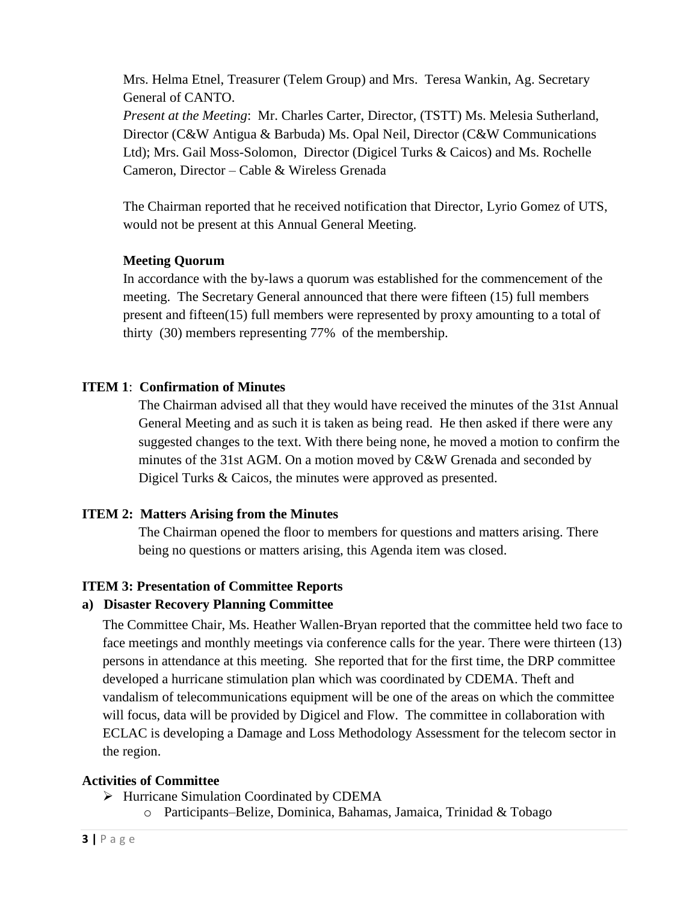Mrs. Helma Etnel, Treasurer (Telem Group) and Mrs. Teresa Wankin, Ag. Secretary General of CANTO. *Present at the Meeting*: Mr. Charles Carter, Director, (TSTT) Ms. Melesia Sutherland, Director (C&W Antigua & Barbuda) Ms. Opal Neil, Director (C&W Communications Ltd); Mrs. Gail Moss-Solomon, Director (Digicel Turks & Caicos) and Ms. Rochelle Cameron, Director – Cable & Wireless Grenada

The Chairman reported that he received notification that Director, Lyrio Gomez of UTS, would not be present at this Annual General Meeting.

# **Meeting Quorum**

In accordance with the by-laws a quorum was established for the commencement of the meeting. The Secretary General announced that there were fifteen (15) full members present and fifteen(15) full members were represented by proxy amounting to a total of thirty (30) members representing 77% of the membership.

# **ITEM 1**: **Confirmation of Minutes**

The Chairman advised all that they would have received the minutes of the 31st Annual General Meeting and as such it is taken as being read. He then asked if there were any suggested changes to the text. With there being none, he moved a motion to confirm the minutes of the 31st AGM. On a motion moved by C&W Grenada and seconded by Digicel Turks & Caicos, the minutes were approved as presented.

# **ITEM 2: Matters Arising from the Minutes**

The Chairman opened the floor to members for questions and matters arising. There being no questions or matters arising, this Agenda item was closed.

## **ITEM 3: Presentation of Committee Reports**

## **a) Disaster Recovery Planning Committee**

The Committee Chair, Ms. Heather Wallen-Bryan reported that the committee held two face to face meetings and monthly meetings via conference calls for the year. There were thirteen (13) persons in attendance at this meeting. She reported that for the first time, the DRP committee developed a hurricane stimulation plan which was coordinated by CDEMA. Theft and vandalism of telecommunications equipment will be one of the areas on which the committee will focus, data will be provided by Digicel and Flow. The committee in collaboration with ECLAC is developing a Damage and Loss Methodology Assessment for the telecom sector in the region.

## **Activities of Committee**

- Hurricane Simulation Coordinated by CDEMA
	- o Participants–Belize, Dominica, Bahamas, Jamaica, Trinidad & Tobago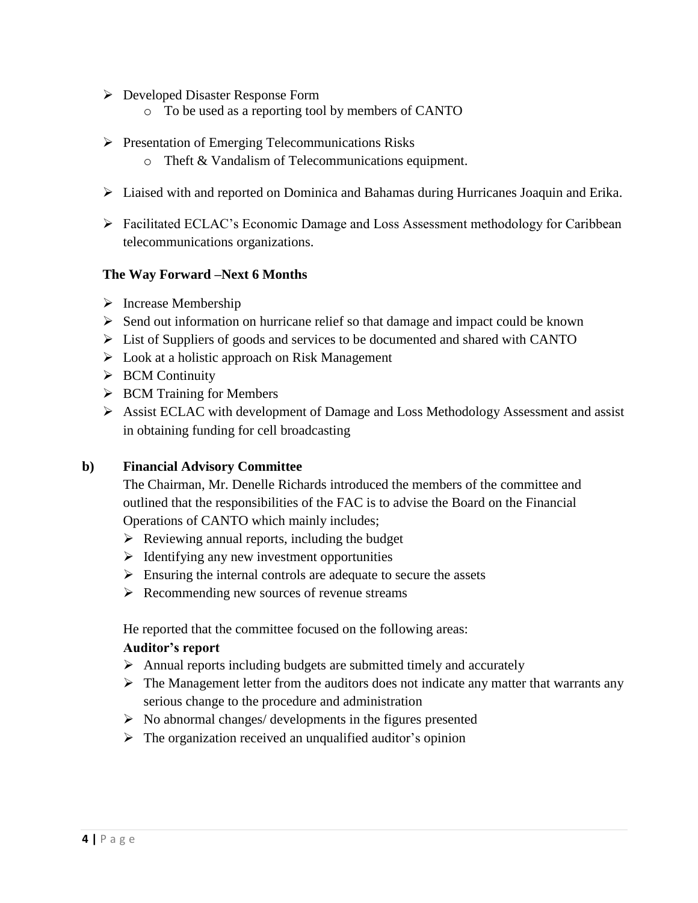- Developed Disaster Response Form
	- o To be used as a reporting tool by members of CANTO
- $\triangleright$  Presentation of Emerging Telecommunications Risks
	- o Theft & Vandalism of Telecommunications equipment.
- Liaised with and reported on Dominica and Bahamas during Hurricanes Joaquin and Erika.
- Facilitated ECLAC's Economic Damage and Loss Assessment methodology for Caribbean telecommunications organizations.

#### **The Way Forward –Next 6 Months**

- $\triangleright$  Increase Membership
- $\triangleright$  Send out information on hurricane relief so that damage and impact could be known
- $\triangleright$  List of Suppliers of goods and services to be documented and shared with CANTO
- $\triangleright$  Look at a holistic approach on Risk Management
- $\triangleright$  BCM Continuity
- $\triangleright$  BCM Training for Members
- Assist ECLAC with development of Damage and Loss Methodology Assessment and assist in obtaining funding for cell broadcasting

#### **b) Financial Advisory Committee**

The Chairman, Mr. Denelle Richards introduced the members of the committee and outlined that the responsibilities of the FAC is to advise the Board on the Financial Operations of CANTO which mainly includes;

- $\triangleright$  Reviewing annual reports, including the budget
- $\triangleright$  Identifying any new investment opportunities
- $\triangleright$  Ensuring the internal controls are adequate to secure the assets
- $\triangleright$  Recommending new sources of revenue streams

He reported that the committee focused on the following areas:

#### **Auditor's report**

- $\triangleright$  Annual reports including budgets are submitted timely and accurately
- $\triangleright$  The Management letter from the auditors does not indicate any matter that warrants any serious change to the procedure and administration
- $\triangleright$  No abnormal changes/ developments in the figures presented
- $\triangleright$  The organization received an unqualified auditor's opinion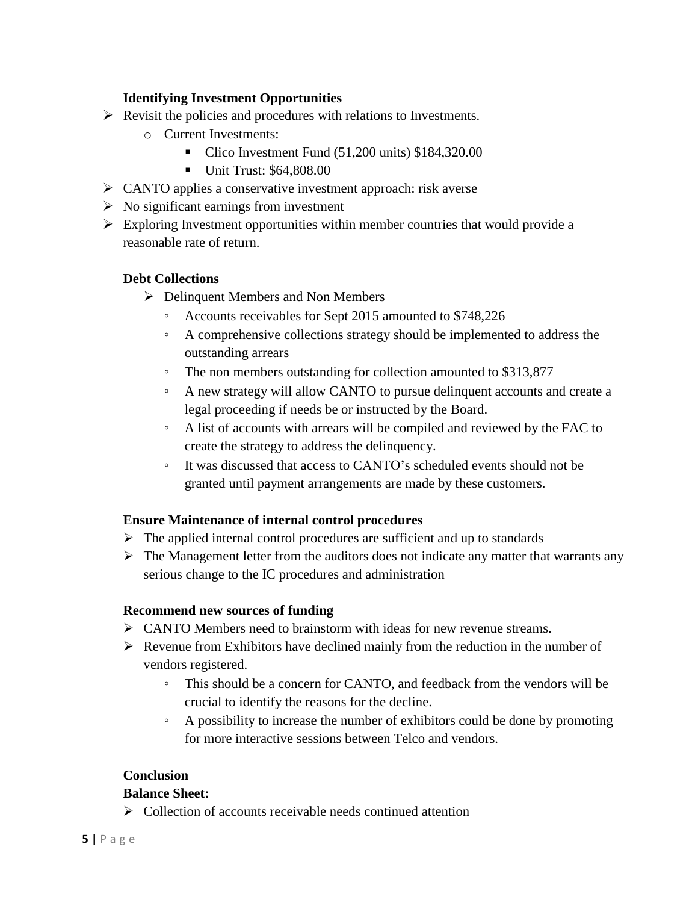## **Identifying Investment Opportunities**

- $\triangleright$  Revisit the policies and procedures with relations to Investments.
	- o Current Investments:
		- Clico Investment Fund  $(51,200 \text{ units})$  \$184,320.00
		- Unit Trust: \$64,808.00
- $\triangleright$  CANTO applies a conservative investment approach: risk averse
- $\triangleright$  No significant earnings from investment
- $\triangleright$  Exploring Investment opportunities within member countries that would provide a reasonable rate of return.

# **Debt Collections**

- $\triangleright$  Delinquent Members and Non Members
	- Accounts receivables for Sept 2015 amounted to \$748,226
	- A comprehensive collections strategy should be implemented to address the outstanding arrears
	- The non members outstanding for collection amounted to \$313,877
	- A new strategy will allow CANTO to pursue delinquent accounts and create a legal proceeding if needs be or instructed by the Board.
	- A list of accounts with arrears will be compiled and reviewed by the FAC to create the strategy to address the delinquency.
	- It was discussed that access to CANTO's scheduled events should not be granted until payment arrangements are made by these customers.

## **Ensure Maintenance of internal control procedures**

- $\triangleright$  The applied internal control procedures are sufficient and up to standards
- $\triangleright$  The Management letter from the auditors does not indicate any matter that warrants any serious change to the IC procedures and administration

## **Recommend new sources of funding**

- $\triangleright$  CANTO Members need to brainstorm with ideas for new revenue streams.
- $\triangleright$  Revenue from Exhibitors have declined mainly from the reduction in the number of vendors registered.
	- This should be a concern for CANTO, and feedback from the vendors will be crucial to identify the reasons for the decline.
	- A possibility to increase the number of exhibitors could be done by promoting for more interactive sessions between Telco and vendors.

## **Conclusion**

## **Balance Sheet:**

 $\triangleright$  Collection of accounts receivable needs continued attention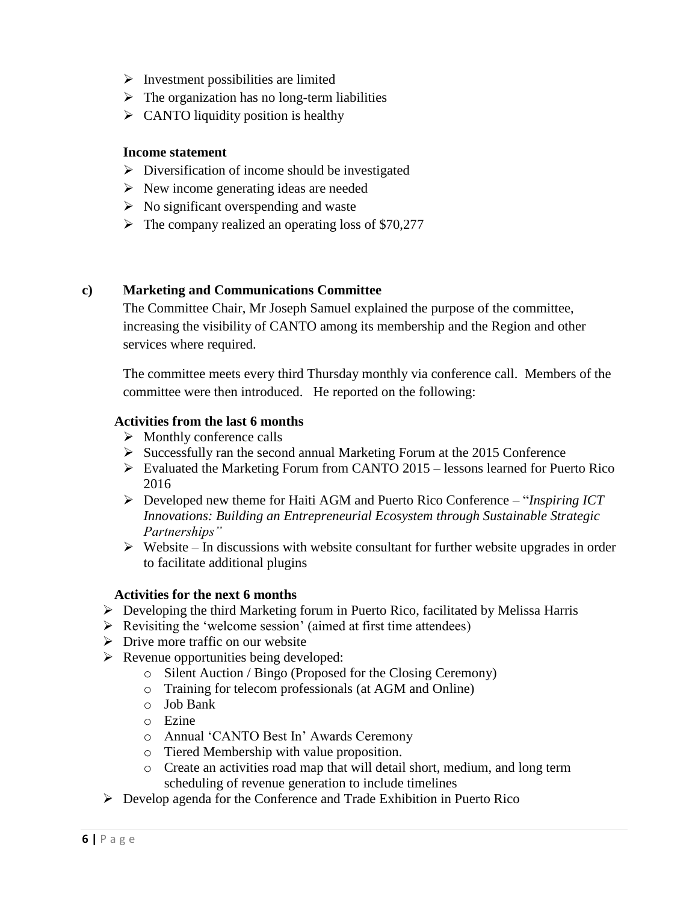- $\triangleright$  Investment possibilities are limited
- $\triangleright$  The organization has no long-term liabilities
- $\triangleright$  CANTO liquidity position is healthy

#### **Income statement**

- $\triangleright$  Diversification of income should be investigated
- $\triangleright$  New income generating ideas are needed
- $\triangleright$  No significant overspending and waste
- $\triangleright$  The company realized an operating loss of \$70,277

#### **c) Marketing and Communications Committee**

The Committee Chair, Mr Joseph Samuel explained the purpose of the committee, increasing the visibility of CANTO among its membership and the Region and other services where required.

The committee meets every third Thursday monthly via conference call. Members of the committee were then introduced. He reported on the following:

#### **Activities from the last 6 months**

- $\triangleright$  Monthly conference calls
- $\triangleright$  Successfully ran the second annual Marketing Forum at the 2015 Conference
- $\triangleright$  Evaluated the Marketing Forum from CANTO 2015 lessons learned for Puerto Rico 2016
- Developed new theme for Haiti AGM and Puerto Rico Conference "*Inspiring ICT Innovations: Building an Entrepreneurial Ecosystem through Sustainable Strategic Partnerships"*
- $\triangleright$  Website In discussions with website consultant for further website upgrades in order to facilitate additional plugins

#### **Activities for the next 6 months**

- $\triangleright$  Developing the third Marketing forum in Puerto Rico, facilitated by Melissa Harris
- $\triangleright$  Revisiting the 'welcome session' (aimed at first time attendees)
- $\triangleright$  Drive more traffic on our website
- $\triangleright$  Revenue opportunities being developed:
	- o Silent Auction / Bingo (Proposed for the Closing Ceremony)
	- o Training for telecom professionals (at AGM and Online)
	- o Job Bank
	- o Ezine
	- o Annual 'CANTO Best In' Awards Ceremony
	- o Tiered Membership with value proposition.
	- o Create an activities road map that will detail short, medium, and long term scheduling of revenue generation to include timelines
- $\triangleright$  Develop agenda for the Conference and Trade Exhibition in Puerto Rico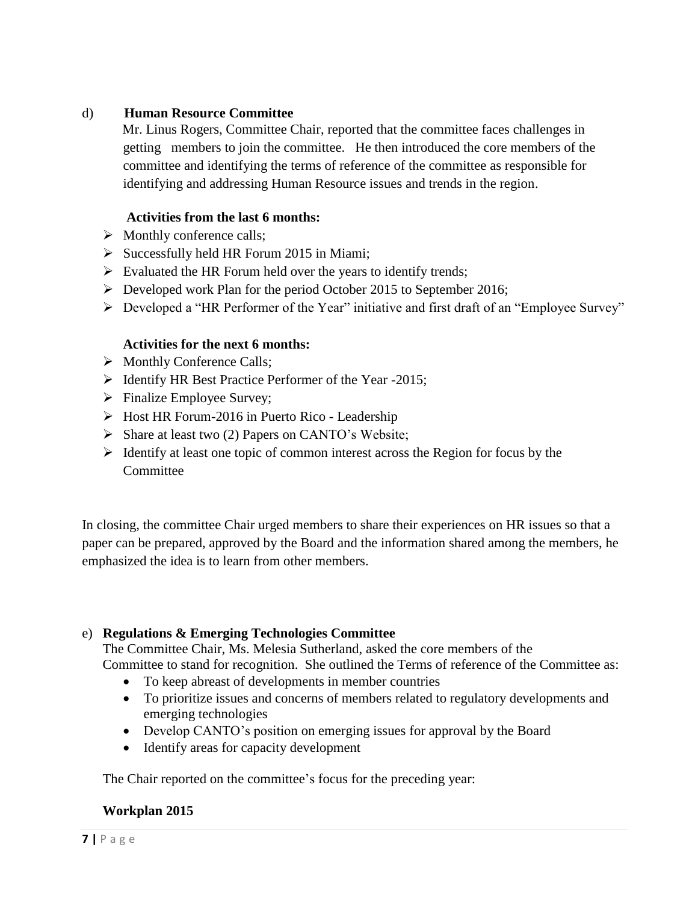## d) **Human Resource Committee**

 Mr. Linus Rogers, Committee Chair, reported that the committee faces challenges in getting members to join the committee. He then introduced the core members of the committee and identifying the terms of reference of the committee as responsible for identifying and addressing Human Resource issues and trends in the region.

#### **Activities from the last 6 months:**

- $\triangleright$  Monthly conference calls;
- $\triangleright$  Successfully held HR Forum 2015 in Miami;
- $\triangleright$  Evaluated the HR Forum held over the years to identify trends;
- $\triangleright$  Developed work Plan for the period October 2015 to September 2016;
- Developed a "HR Performer of the Year" initiative and first draft of an "Employee Survey"

## **Activities for the next 6 months:**

- $\triangleright$  Monthly Conference Calls;
- $\triangleright$  Identify HR Best Practice Performer of the Year -2015;
- $\triangleright$  Finalize Employee Survey;
- $\triangleright$  Host HR Forum-2016 in Puerto Rico Leadership
- $\triangleright$  Share at least two (2) Papers on CANTO's Website;
- $\triangleright$  Identify at least one topic of common interest across the Region for focus by the Committee

In closing, the committee Chair urged members to share their experiences on HR issues so that a paper can be prepared, approved by the Board and the information shared among the members, he emphasized the idea is to learn from other members.

## e) **Regulations & Emerging Technologies Committee**

The Committee Chair, Ms. Melesia Sutherland, asked the core members of the

Committee to stand for recognition. She outlined the Terms of reference of the Committee as:

- To keep abreast of developments in member countries
- To prioritize issues and concerns of members related to regulatory developments and emerging technologies
- Develop CANTO's position on emerging issues for approval by the Board
- Identify areas for capacity development

The Chair reported on the committee's focus for the preceding year:

## **Workplan 2015**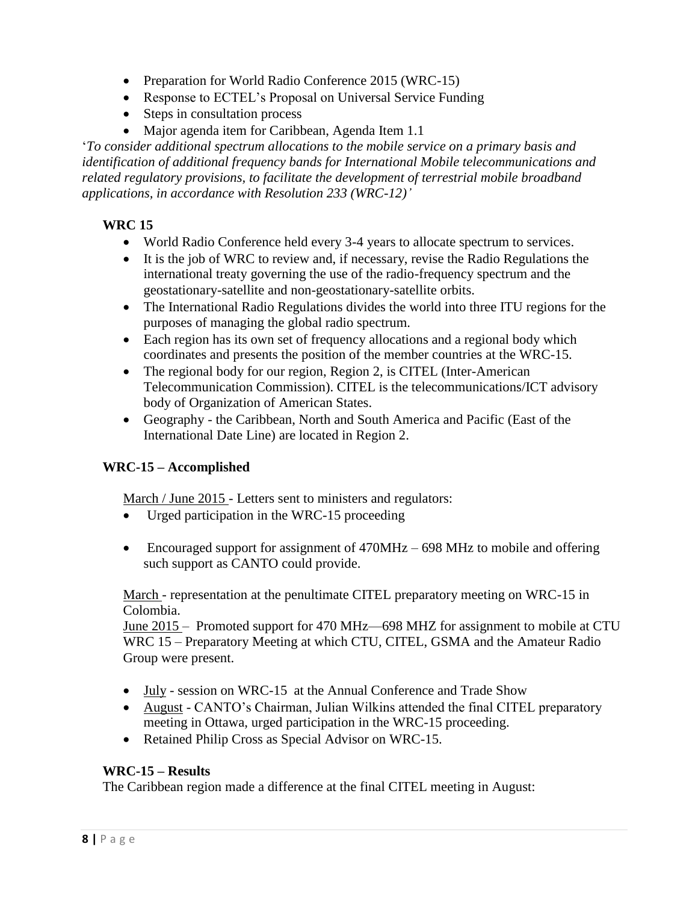- Preparation for World Radio Conference 2015 (WRC-15)
- Response to ECTEL's Proposal on Universal Service Funding
- Steps in consultation process
- Major agenda item for Caribbean, Agenda Item 1.1

'*To consider additional spectrum allocations to the mobile service on a primary basis and identification of additional frequency bands for International Mobile telecommunications and related regulatory provisions, to facilitate the development of terrestrial mobile broadband applications, in accordance with Resolution 233 (WRC-12)'*

# **WRC 15**

- World Radio Conference held every 3-4 years to allocate spectrum to services.
- It is the job of WRC to review and, if necessary, revise the Radio Regulations the international treaty governing the use of the radio-frequency spectrum and the geostationary-satellite and non-geostationary-satellite orbits.
- The International Radio Regulations divides the world into three ITU regions for the purposes of managing the global radio spectrum.
- Each region has its own set of frequency allocations and a regional body which coordinates and presents the position of the member countries at the WRC-15.
- The regional body for our region, Region 2, is CITEL (Inter-American Telecommunication Commission). CITEL is the telecommunications/ICT advisory body of Organization of American States.
- Geography the Caribbean, North and South America and Pacific (East of the International Date Line) are located in Region 2.

## **WRC-15 – Accomplished**

March / June 2015 - Letters sent to ministers and regulators:

- Urged participation in the WRC-15 proceeding
- Encouraged support for assignment of 470MHz 698 MHz to mobile and offering such support as CANTO could provide.

March - representation at the penultimate CITEL preparatory meeting on WRC-15 in Colombia.

June 2015 – Promoted support for 470 MHz—698 MHZ for assignment to mobile at CTU WRC 15 – Preparatory Meeting at which CTU, CITEL, GSMA and the Amateur Radio Group were present.

- July session on WRC-15 at the Annual Conference and Trade Show
- August CANTO's Chairman, Julian Wilkins attended the final CITEL preparatory meeting in Ottawa, urged participation in the WRC-15 proceeding.
- Retained Philip Cross as Special Advisor on WRC-15.

## **WRC-15 – Results**

The Caribbean region made a difference at the final CITEL meeting in August: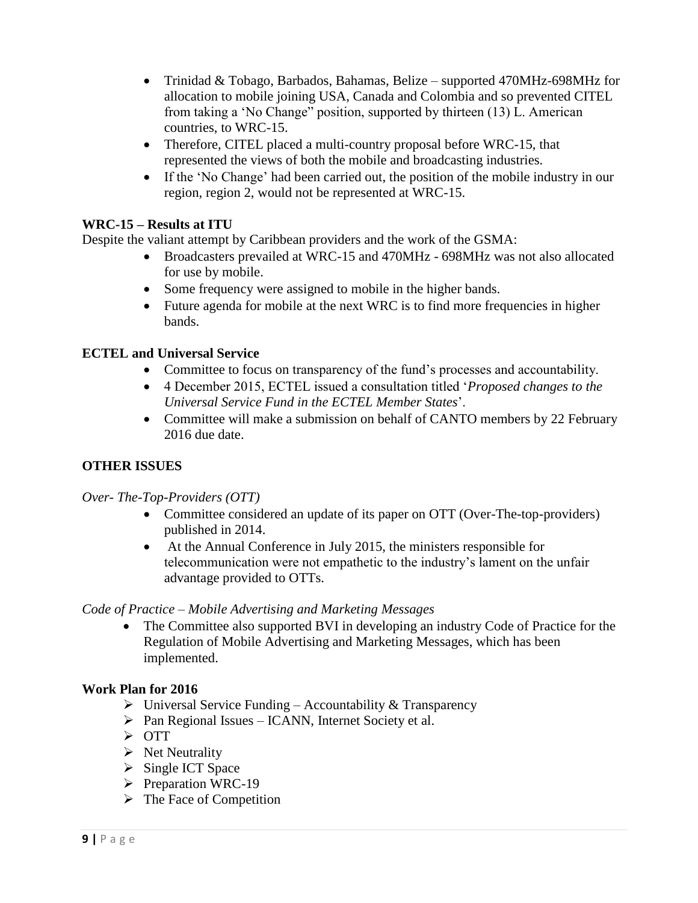- Trinidad & Tobago, Barbados, Bahamas, Belize supported 470MHz-698MHz for allocation to mobile joining USA, Canada and Colombia and so prevented CITEL from taking a 'No Change" position, supported by thirteen (13) L. American countries, to WRC-15.
- Therefore, CITEL placed a multi-country proposal before WRC-15, that represented the views of both the mobile and broadcasting industries.
- If the 'No Change' had been carried out, the position of the mobile industry in our region, region 2, would not be represented at WRC-15.

## **WRC-15 – Results at ITU**

Despite the valiant attempt by Caribbean providers and the work of the GSMA:

- Broadcasters prevailed at WRC-15 and 470MHz 698MHz was not also allocated for use by mobile.
- Some frequency were assigned to mobile in the higher bands.
- Future agenda for mobile at the next WRC is to find more frequencies in higher bands.

# **ECTEL and Universal Service**

- Committee to focus on transparency of the fund's processes and accountability.
- 4 December 2015, ECTEL issued a consultation titled '*Proposed changes to the Universal Service Fund in the ECTEL Member States*'.
- Committee will make a submission on behalf of CANTO members by 22 February 2016 due date.

# **OTHER ISSUES**

## *Over- The-Top-Providers (OTT)*

- Committee considered an update of its paper on OTT (Over-The-top-providers) published in 2014.
- At the Annual Conference in July 2015, the ministers responsible for telecommunication were not empathetic to the industry's lament on the unfair advantage provided to OTTs.

## *Code of Practice – Mobile Advertising and Marketing Messages*

 The Committee also supported BVI in developing an industry Code of Practice for the Regulation of Mobile Advertising and Marketing Messages, which has been implemented.

## **Work Plan for 2016**

- $\triangleright$  Universal Service Funding Accountability & Transparency
- $\triangleright$  Pan Regional Issues ICANN, Internet Society et al.
- > OTT
- $\triangleright$  Net Neutrality
- $\triangleright$  Single ICT Space
- $\triangleright$  Preparation WRC-19
- $\triangleright$  The Face of Competition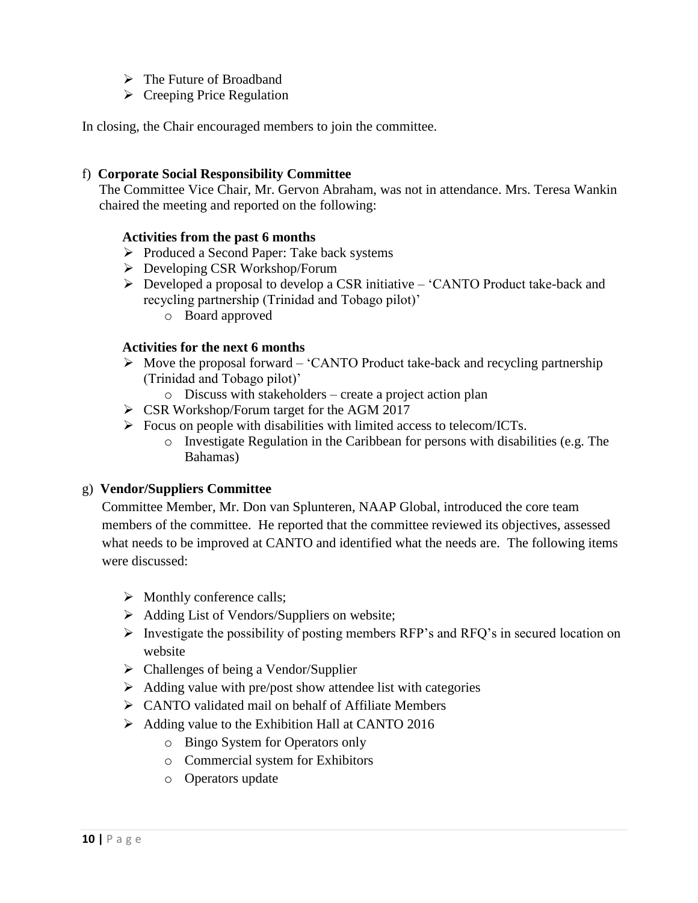- $\triangleright$  The Future of Broadband
- $\triangleright$  Creeping Price Regulation

In closing, the Chair encouraged members to join the committee.

#### f) **Corporate Social Responsibility Committee**

 The Committee Vice Chair, Mr. Gervon Abraham, was not in attendance. Mrs. Teresa Wankin chaired the meeting and reported on the following:

#### **Activities from the past 6 months**

- $\triangleright$  Produced a Second Paper: Take back systems
- Developing CSR Workshop/Forum
- $\triangleright$  Developed a proposal to develop a CSR initiative 'CANTO Product take-back and recycling partnership (Trinidad and Tobago pilot)'
	- o Board approved

#### **Activities for the next 6 months**

- $\triangleright$  Move the proposal forward 'CANTO Product take-back and recycling partnership (Trinidad and Tobago pilot)'
	- o Discuss with stakeholders create a project action plan
- $\triangleright$  CSR Workshop/Forum target for the AGM 2017
- $\triangleright$  Focus on people with disabilities with limited access to telecom/ICTs.
	- $\circ$  Investigate Regulation in the Caribbean for persons with disabilities (e.g. The Bahamas)

#### g) **Vendor/Suppliers Committee**

Committee Member, Mr. Don van Splunteren, NAAP Global, introduced the core team members of the committee. He reported that the committee reviewed its objectives, assessed what needs to be improved at CANTO and identified what the needs are. The following items were discussed:

- $\triangleright$  Monthly conference calls;
- $\triangleright$  Adding List of Vendors/Suppliers on website;
- $\triangleright$  Investigate the possibility of posting members RFP's and RFQ's in secured location on website
- $\triangleright$  Challenges of being a Vendor/Supplier
- $\triangleright$  Adding value with pre/post show attendee list with categories
- CANTO validated mail on behalf of Affiliate Members
- $\blacktriangleright$  Adding value to the Exhibition Hall at CANTO 2016
	- o Bingo System for Operators only
	- o Commercial system for Exhibitors
	- o Operators update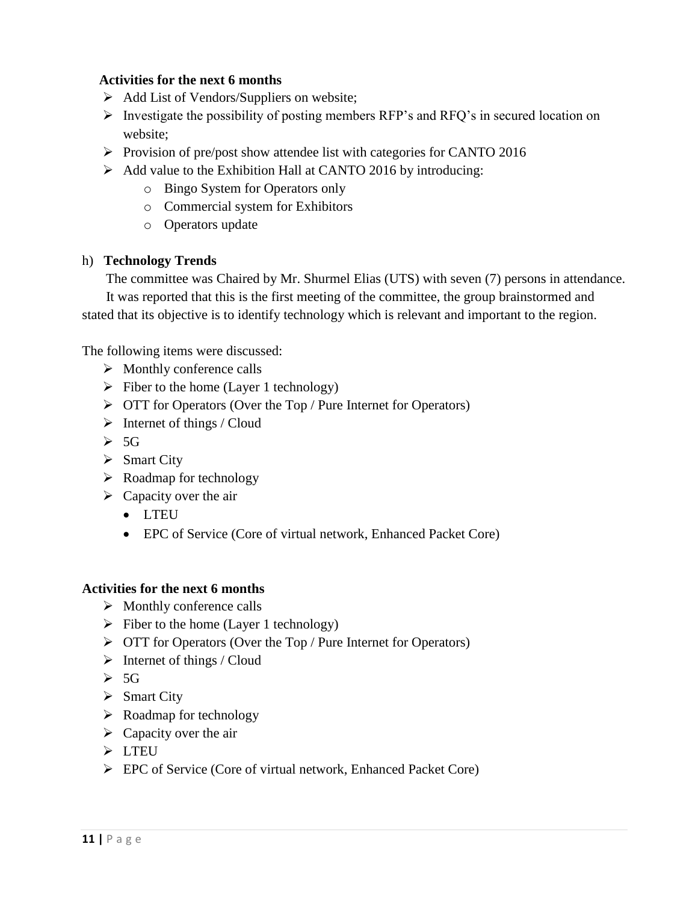## **Activities for the next 6 months**

- $\triangleright$  Add List of Vendors/Suppliers on website;
- $\triangleright$  Investigate the possibility of posting members RFP's and RFQ's in secured location on website;
- $\triangleright$  Provision of pre/post show attendee list with categories for CANTO 2016
- $\triangleright$  Add value to the Exhibition Hall at CANTO 2016 by introducing:
	- o Bingo System for Operators only
	- o Commercial system for Exhibitors
	- o Operators update

## h) **Technology Trends**

 The committee was Chaired by Mr. Shurmel Elias (UTS) with seven (7) persons in attendance. It was reported that this is the first meeting of the committee, the group brainstormed and stated that its objective is to identify technology which is relevant and important to the region.

The following items were discussed:

- $\triangleright$  Monthly conference calls
- $\triangleright$  Fiber to the home (Layer 1 technology)
- $\triangleright$  OTT for Operators (Over the Top / Pure Internet for Operators)
- $\triangleright$  Internet of things / Cloud
- $\geqslant$  5G
- $\triangleright$  Smart City
- $\triangleright$  Roadmap for technology
- $\triangleright$  Capacity over the air
	- LTEU
	- EPC of Service (Core of virtual network, Enhanced Packet Core)

## **Activities for the next 6 months**

- $\triangleright$  Monthly conference calls
- $\triangleright$  Fiber to the home (Layer 1 technology)
- $\triangleright$  OTT for Operators (Over the Top / Pure Internet for Operators)
- $\triangleright$  Internet of things / Cloud
- $\geqslant$  5G
- $\triangleright$  Smart City
- $\triangleright$  Roadmap for technology
- $\triangleright$  Capacity over the air
- > LTEU
- EPC of Service (Core of virtual network, Enhanced Packet Core)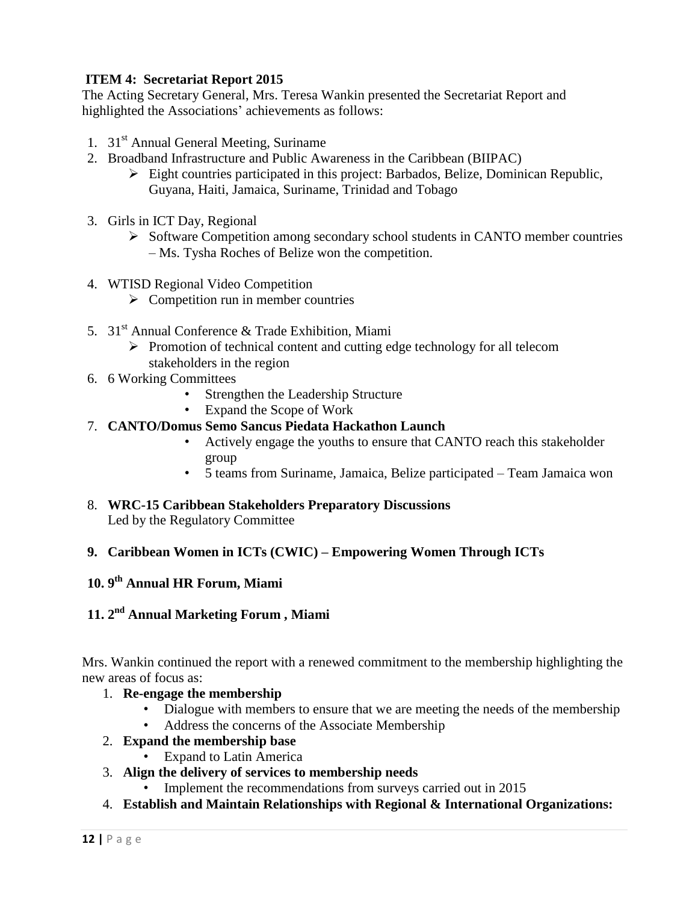# **ITEM 4: Secretariat Report 2015**

The Acting Secretary General, Mrs. Teresa Wankin presented the Secretariat Report and highlighted the Associations' achievements as follows:

- 1.  $31<sup>st</sup>$  Annual General Meeting, Suriname
- 2. Broadband Infrastructure and Public Awareness in the Caribbean (BIIPAC)
	- Eight countries participated in this project: Barbados, Belize, Dominican Republic, Guyana, Haiti, Jamaica, Suriname, Trinidad and Tobago
- 3. Girls in ICT Day, Regional
	- $\triangleright$  Software Competition among secondary school students in CANTO member countries – Ms. Tysha Roches of Belize won the competition.
- 4. WTISD Regional Video Competition
	- $\triangleright$  Competition run in member countries
- 5. 31<sup>st</sup> Annual Conference & Trade Exhibition, Miami
	- $\triangleright$  Promotion of technical content and cutting edge technology for all telecom stakeholders in the region
- 6. 6 Working Committees
	- Strengthen the Leadership Structure
	- Expand the Scope of Work

#### 7. **CANTO/Domus Semo Sancus Piedata Hackathon Launch**

- Actively engage the youths to ensure that CANTO reach this stakeholder group
- 5 teams from Suriname, Jamaica, Belize participated Team Jamaica won
- 8. **WRC-15 Caribbean Stakeholders Preparatory Discussions** Led by the Regulatory Committee

## **9. Caribbean Women in ICTs (CWIC) – Empowering Women Through ICTs**

# **10. 9 th Annual HR Forum, Miami**

# **11. 2 nd Annual Marketing Forum , Miami**

Mrs. Wankin continued the report with a renewed commitment to the membership highlighting the new areas of focus as:

- 1. **Re-engage the membership**
	- Dialogue with members to ensure that we are meeting the needs of the membership
	- Address the concerns of the Associate Membership
- 2. **Expand the membership base** 
	- Expand to Latin America
- 3. **Align the delivery of services to membership needs** 
	- Implement the recommendations from surveys carried out in 2015
- 4. **Establish and Maintain Relationships with Regional & International Organizations:**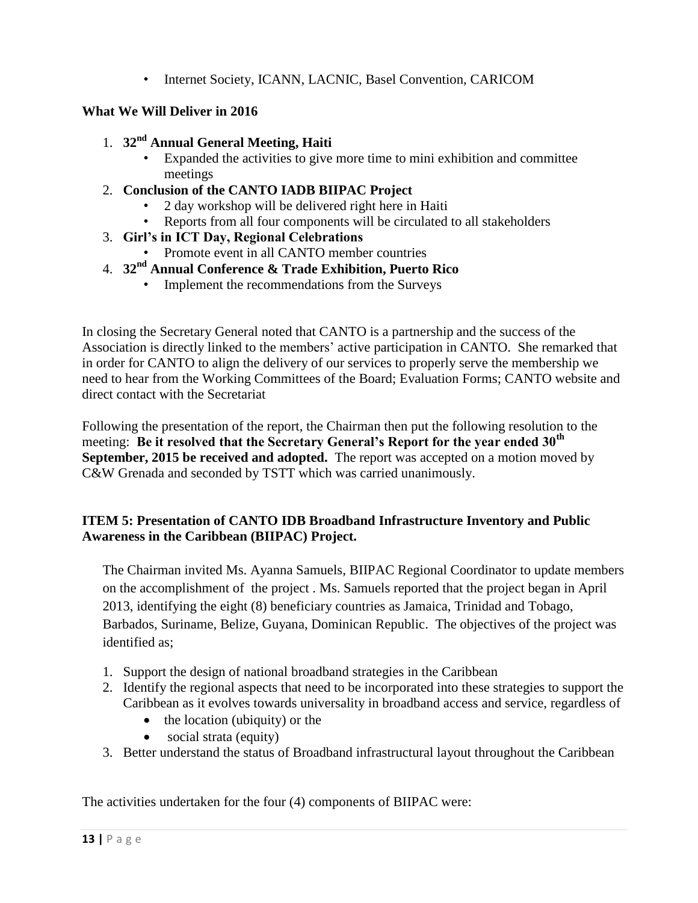• Internet Society, ICANN, LACNIC, Basel Convention, CARICOM

## **What We Will Deliver in 2016**

- 1. **32nd Annual General Meeting, Haiti**
	- Expanded the activities to give more time to mini exhibition and committee meetings
- 2. **Conclusion of the CANTO IADB BIIPAC Project**
	- 2 day workshop will be delivered right here in Haiti
	- Reports from all four components will be circulated to all stakeholders
- 3. **Girl's in ICT Day, Regional Celebrations**
	- Promote event in all CANTO member countries
- 4. **32nd Annual Conference & Trade Exhibition, Puerto Rico**
	- Implement the recommendations from the Surveys

In closing the Secretary General noted that CANTO is a partnership and the success of the Association is directly linked to the members' active participation in CANTO. She remarked that in order for CANTO to align the delivery of our services to properly serve the membership we need to hear from the Working Committees of the Board; Evaluation Forms; CANTO website and direct contact with the Secretariat

Following the presentation of the report, the Chairman then put the following resolution to the meeting: **Be it resolved that the Secretary General's Report for the year ended 30th September, 2015 be received and adopted.** The report was accepted on a motion moved by C&W Grenada and seconded by TSTT which was carried unanimously.

# **ITEM 5: Presentation of CANTO IDB Broadband Infrastructure Inventory and Public Awareness in the Caribbean (BIIPAC) Project.**

The Chairman invited Ms. Ayanna Samuels, BIIPAC Regional Coordinator to update members on the accomplishment of the project . Ms. Samuels reported that the project began in April 2013, identifying the eight (8) beneficiary countries as Jamaica, Trinidad and Tobago, Barbados, Suriname, Belize, Guyana, Dominican Republic. The objectives of the project was identified as;

- 1. Support the design of national broadband strategies in the Caribbean
- 2. Identify the regional aspects that need to be incorporated into these strategies to support the Caribbean as it evolves towards universality in broadband access and service, regardless of
	- $\bullet$  the location (ubiquity) or the
	- social strata (equity)
- 3. Better understand the status of Broadband infrastructural layout throughout the Caribbean

The activities undertaken for the four (4) components of BIIPAC were: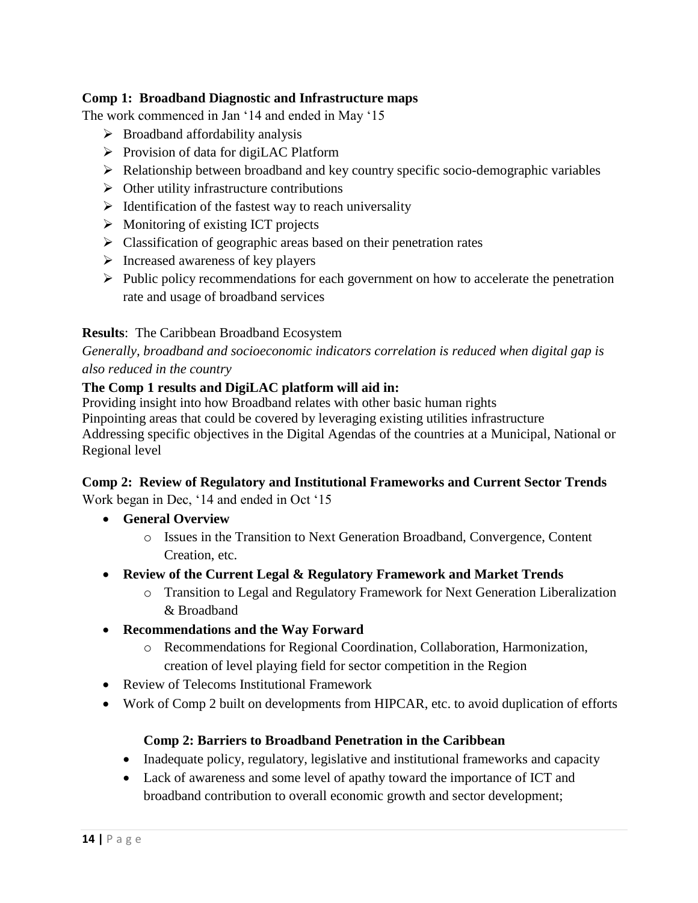# **Comp 1: Broadband Diagnostic and Infrastructure maps**

The work commenced in Jan '14 and ended in May '15

- $\triangleright$  Broadband affordability analysis
- $\triangleright$  Provision of data for digiLAC Platform
- $\triangleright$  Relationship between broadband and key country specific socio-demographic variables
- $\triangleright$  Other utility infrastructure contributions
- $\triangleright$  Identification of the fastest way to reach universality
- $\triangleright$  Monitoring of existing ICT projects
- $\triangleright$  Classification of geographic areas based on their penetration rates
- $\triangleright$  Increased awareness of key players
- $\triangleright$  Public policy recommendations for each government on how to accelerate the penetration rate and usage of broadband services

## **Results**: The Caribbean Broadband Ecosystem

*Generally, broadband and socioeconomic indicators correlation is reduced when digital gap is also reduced in the country*

## **The Comp 1 results and DigiLAC platform will aid in:**

Providing insight into how Broadband relates with other basic human rights Pinpointing areas that could be covered by leveraging existing utilities infrastructure Addressing specific objectives in the Digital Agendas of the countries at a Municipal, National or Regional level

# **Comp 2: Review of Regulatory and Institutional Frameworks and Current Sector Trends**

Work began in Dec, '14 and ended in Oct '15

- **General Overview**
	- o Issues in the Transition to Next Generation Broadband, Convergence, Content Creation, etc.
- **Review of the Current Legal & Regulatory Framework and Market Trends**
	- o Transition to Legal and Regulatory Framework for Next Generation Liberalization & Broadband
- **Recommendations and the Way Forward**
	- o Recommendations for Regional Coordination, Collaboration, Harmonization, creation of level playing field for sector competition in the Region
- Review of Telecoms Institutional Framework
- Work of Comp 2 built on developments from HIPCAR, etc. to avoid duplication of efforts

## **Comp 2: Barriers to Broadband Penetration in the Caribbean**

- Inadequate policy, regulatory, legislative and institutional frameworks and capacity
- Lack of awareness and some level of apathy toward the importance of ICT and broadband contribution to overall economic growth and sector development;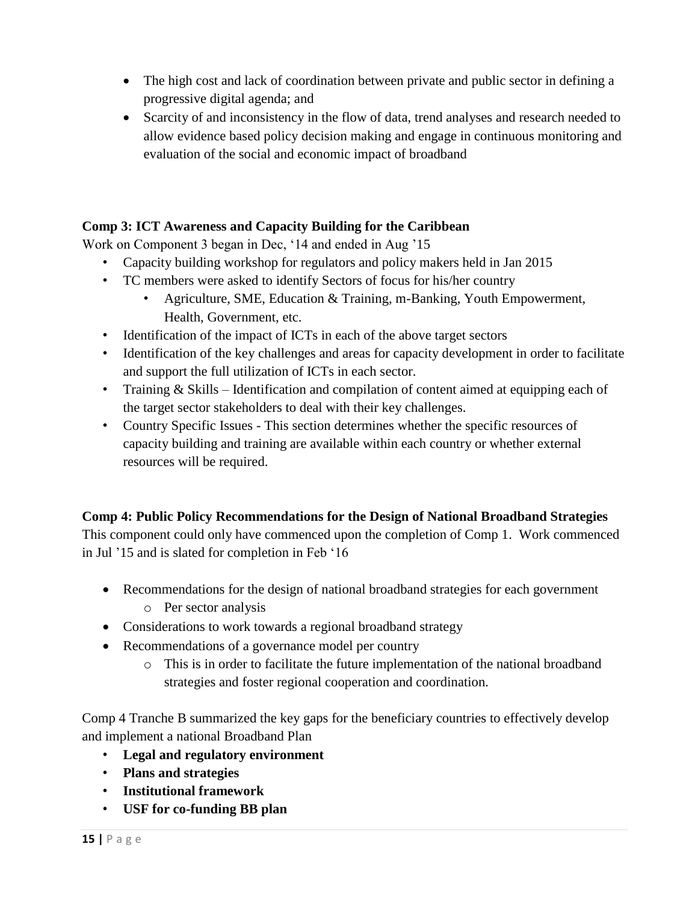- The high cost and lack of coordination between private and public sector in defining a progressive digital agenda; and
- Scarcity of and inconsistency in the flow of data, trend analyses and research needed to allow evidence based policy decision making and engage in continuous monitoring and evaluation of the social and economic impact of broadband

# **Comp 3: ICT Awareness and Capacity Building for the Caribbean**

Work on Component 3 began in Dec, '14 and ended in Aug '15

- Capacity building workshop for regulators and policy makers held in Jan 2015
- TC members were asked to identify Sectors of focus for his/her country
	- Agriculture, SME, Education & Training, m-Banking, Youth Empowerment, Health, Government, etc.
- Identification of the impact of ICTs in each of the above target sectors
- Identification of the key challenges and areas for capacity development in order to facilitate and support the full utilization of ICTs in each sector.
- Training & Skills Identification and compilation of content aimed at equipping each of the target sector stakeholders to deal with their key challenges.
- Country Specific Issues This section determines whether the specific resources of capacity building and training are available within each country or whether external resources will be required.

# **Comp 4: Public Policy Recommendations for the Design of National Broadband Strategies**

This component could only have commenced upon the completion of Comp 1. Work commenced in Jul '15 and is slated for completion in Feb '16

- Recommendations for the design of national broadband strategies for each government o Per sector analysis
- Considerations to work towards a regional broadband strategy
- Recommendations of a governance model per country
	- o This is in order to facilitate the future implementation of the national broadband strategies and foster regional cooperation and coordination.

Comp 4 Tranche B summarized the key gaps for the beneficiary countries to effectively develop and implement a national Broadband Plan

- **Legal and regulatory environment**
- **Plans and strategies**
- **Institutional framework**
- **USF for co-funding BB plan**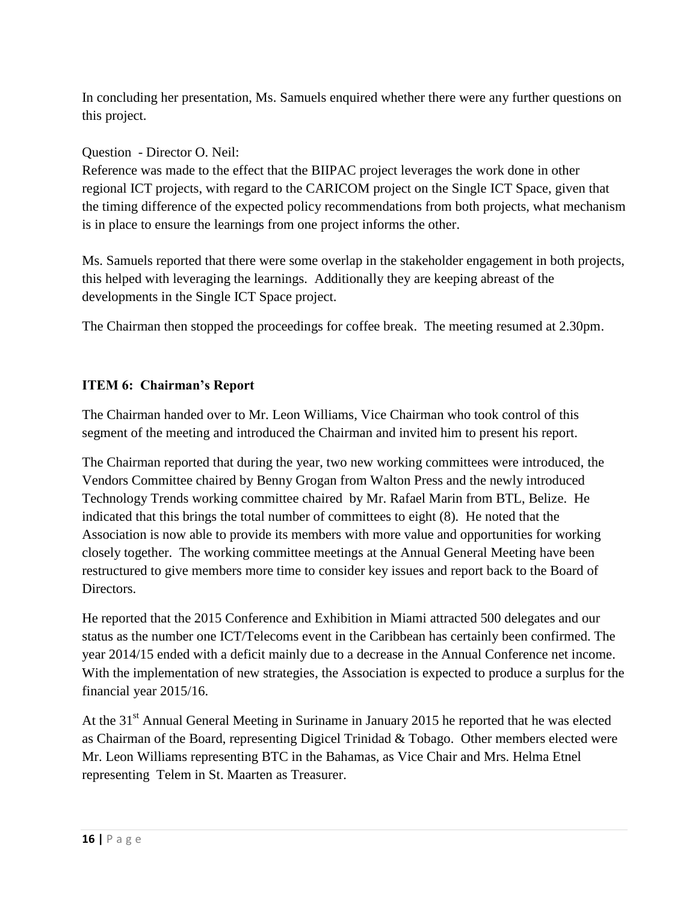In concluding her presentation, Ms. Samuels enquired whether there were any further questions on this project.

Question - Director O. Neil:

Reference was made to the effect that the BIIPAC project leverages the work done in other regional ICT projects, with regard to the CARICOM project on the Single ICT Space, given that the timing difference of the expected policy recommendations from both projects, what mechanism is in place to ensure the learnings from one project informs the other.

Ms. Samuels reported that there were some overlap in the stakeholder engagement in both projects, this helped with leveraging the learnings. Additionally they are keeping abreast of the developments in the Single ICT Space project.

The Chairman then stopped the proceedings for coffee break. The meeting resumed at 2.30pm.

# **ITEM 6: Chairman's Report**

The Chairman handed over to Mr. Leon Williams, Vice Chairman who took control of this segment of the meeting and introduced the Chairman and invited him to present his report.

The Chairman reported that during the year, two new working committees were introduced, the Vendors Committee chaired by Benny Grogan from Walton Press and the newly introduced Technology Trends working committee chaired by Mr. Rafael Marin from BTL, Belize. He indicated that this brings the total number of committees to eight (8). He noted that the Association is now able to provide its members with more value and opportunities for working closely together. The working committee meetings at the Annual General Meeting have been restructured to give members more time to consider key issues and report back to the Board of Directors.

He reported that the 2015 Conference and Exhibition in Miami attracted 500 delegates and our status as the number one ICT/Telecoms event in the Caribbean has certainly been confirmed. The year 2014/15 ended with a deficit mainly due to a decrease in the Annual Conference net income. With the implementation of new strategies, the Association is expected to produce a surplus for the financial year 2015/16.

At the 31<sup>st</sup> Annual General Meeting in Suriname in January 2015 he reported that he was elected as Chairman of the Board, representing Digicel Trinidad & Tobago. Other members elected were Mr. Leon Williams representing BTC in the Bahamas, as Vice Chair and Mrs. Helma Etnel representing Telem in St. Maarten as Treasurer.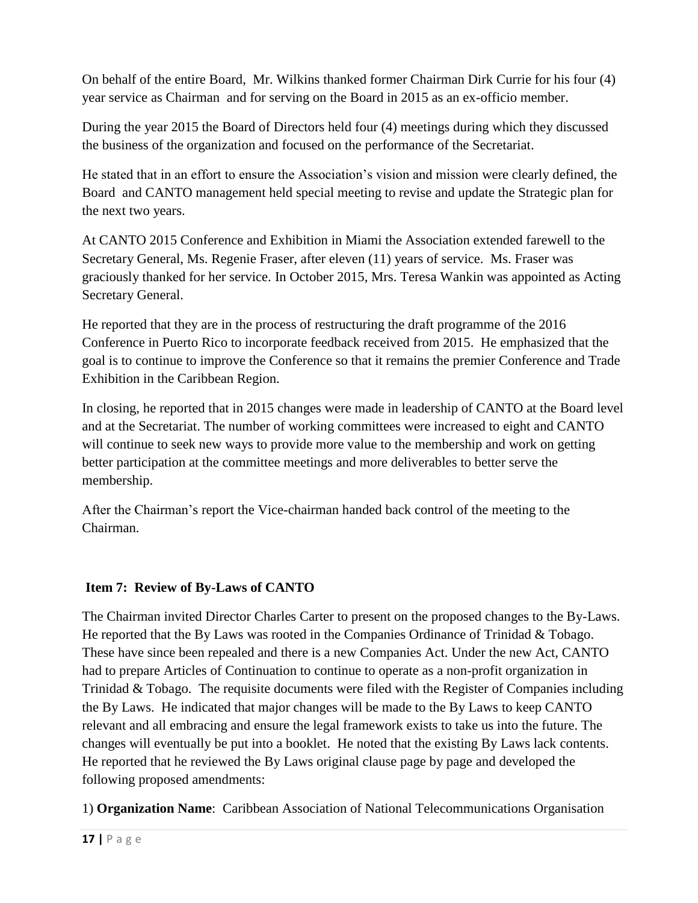On behalf of the entire Board, Mr. Wilkins thanked former Chairman Dirk Currie for his four (4) year service as Chairman and for serving on the Board in 2015 as an ex-officio member.

During the year 2015 the Board of Directors held four (4) meetings during which they discussed the business of the organization and focused on the performance of the Secretariat.

He stated that in an effort to ensure the Association's vision and mission were clearly defined, the Board and CANTO management held special meeting to revise and update the Strategic plan for the next two years.

At CANTO 2015 Conference and Exhibition in Miami the Association extended farewell to the Secretary General, Ms. Regenie Fraser, after eleven (11) years of service. Ms. Fraser was graciously thanked for her service. In October 2015, Mrs. Teresa Wankin was appointed as Acting Secretary General.

He reported that they are in the process of restructuring the draft programme of the 2016 Conference in Puerto Rico to incorporate feedback received from 2015. He emphasized that the goal is to continue to improve the Conference so that it remains the premier Conference and Trade Exhibition in the Caribbean Region.

In closing, he reported that in 2015 changes were made in leadership of CANTO at the Board level and at the Secretariat. The number of working committees were increased to eight and CANTO will continue to seek new ways to provide more value to the membership and work on getting better participation at the committee meetings and more deliverables to better serve the membership.

After the Chairman's report the Vice-chairman handed back control of the meeting to the Chairman.

# **Item 7: Review of By-Laws of CANTO**

The Chairman invited Director Charles Carter to present on the proposed changes to the By-Laws. He reported that the By Laws was rooted in the Companies Ordinance of Trinidad & Tobago. These have since been repealed and there is a new Companies Act. Under the new Act, CANTO had to prepare Articles of Continuation to continue to operate as a non-profit organization in Trinidad & Tobago. The requisite documents were filed with the Register of Companies including the By Laws. He indicated that major changes will be made to the By Laws to keep CANTO relevant and all embracing and ensure the legal framework exists to take us into the future. The changes will eventually be put into a booklet. He noted that the existing By Laws lack contents. He reported that he reviewed the By Laws original clause page by page and developed the following proposed amendments:

1) **Organization Name**: Caribbean Association of National Telecommunications Organisation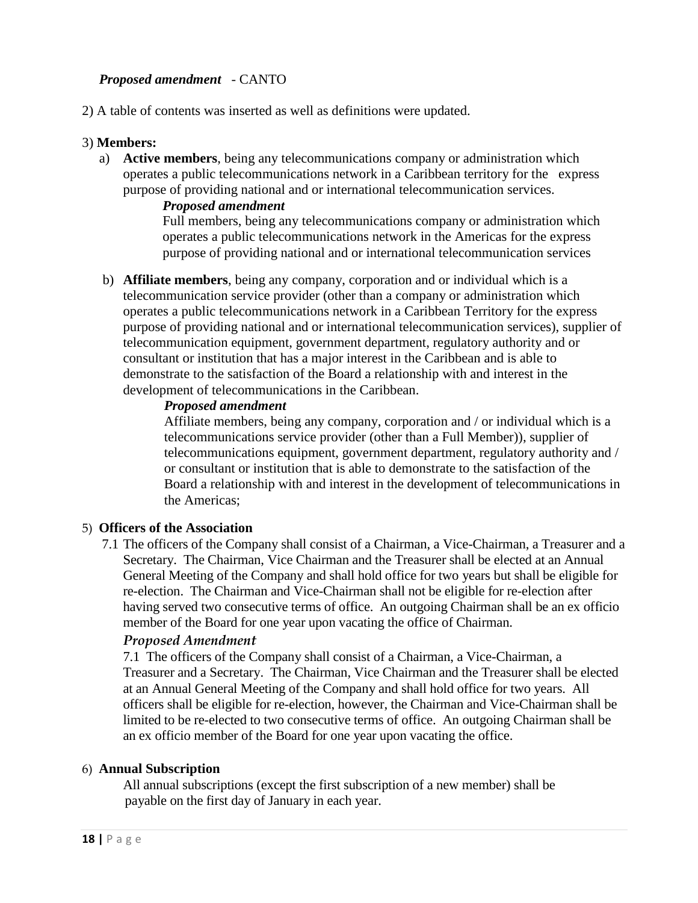## *Proposed amendment* - CANTO

2) A table of contents was inserted as well as definitions were updated.

#### 3) **Members:**

a) **Active members**, being any telecommunications company or administration which operates a public telecommunications network in a Caribbean territory for the express purpose of providing national and or international telecommunication services.

#### *Proposed amendment*

Full members, being any telecommunications company or administration which operates a public telecommunications network in the Americas for the express purpose of providing national and or international telecommunication services

b) **Affiliate members**, being any company, corporation and or individual which is a telecommunication service provider (other than a company or administration which operates a public telecommunications network in a Caribbean Territory for the express purpose of providing national and or international telecommunication services), supplier of telecommunication equipment, government department, regulatory authority and or consultant or institution that has a major interest in the Caribbean and is able to demonstrate to the satisfaction of the Board a relationship with and interest in the development of telecommunications in the Caribbean.

#### *Proposed amendment*

Affiliate members, being any company, corporation and / or individual which is a telecommunications service provider (other than a Full Member)), supplier of telecommunications equipment, government department, regulatory authority and / or consultant or institution that is able to demonstrate to the satisfaction of the Board a relationship with and interest in the development of telecommunications in the Americas;

## 5) **Officers of the Association**

7.1 The officers of the Company shall consist of a Chairman, a Vice-Chairman, a Treasurer and a Secretary. The Chairman, Vice Chairman and the Treasurer shall be elected at an Annual General Meeting of the Company and shall hold office for two years but shall be eligible for re-election. The Chairman and Vice-Chairman shall not be eligible for re-election after having served two consecutive terms of office. An outgoing Chairman shall be an ex officio member of the Board for one year upon vacating the office of Chairman.

# *Proposed Amendment*

7.1 The officers of the Company shall consist of a Chairman, a Vice-Chairman, a Treasurer and a Secretary. The Chairman, Vice Chairman and the Treasurer shall be elected at an Annual General Meeting of the Company and shall hold office for two years. All officers shall be eligible for re-election, however, the Chairman and Vice-Chairman shall be limited to be re-elected to two consecutive terms of office. An outgoing Chairman shall be an ex officio member of the Board for one year upon vacating the office.

## 6) **Annual Subscription**

All annual subscriptions (except the first subscription of a new member) shall be payable on the first day of January in each year.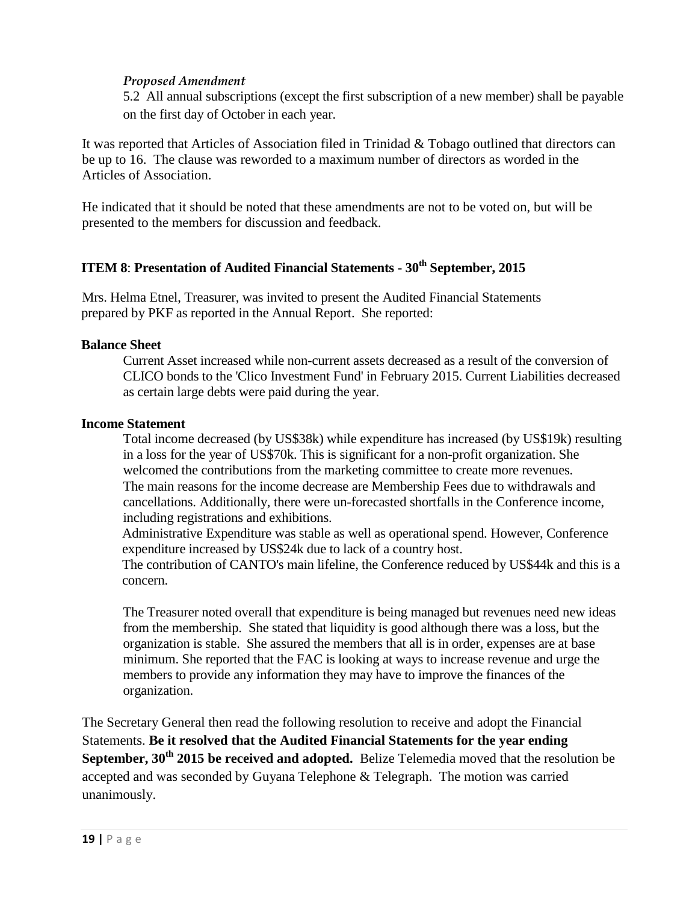#### *Proposed Amendment*

5.2 All annual subscriptions (except the first subscription of a new member) shall be payable on the first day of October in each year.

It was reported that Articles of Association filed in Trinidad & Tobago outlined that directors can be up to 16. The clause was reworded to a maximum number of directors as worded in the Articles of Association.

He indicated that it should be noted that these amendments are not to be voted on, but will be presented to the members for discussion and feedback.

# **ITEM 8**: **Presentation of Audited Financial Statements - 30th September, 2015**

Mrs. Helma Etnel, Treasurer, was invited to present the Audited Financial Statements prepared by PKF as reported in the Annual Report. She reported:

#### **Balance Sheet**

Current Asset increased while non-current assets decreased as a result of the conversion of CLICO bonds to the 'Clico Investment Fund' in February 2015. Current Liabilities decreased as certain large debts were paid during the year.

#### **Income Statement**

Total income decreased (by US\$38k) while expenditure has increased (by US\$19k) resulting in a loss for the year of US\$70k. This is significant for a non-profit organization. She welcomed the contributions from the marketing committee to create more revenues. The main reasons for the income decrease are Membership Fees due to withdrawals and cancellations. Additionally, there were un-forecasted shortfalls in the Conference income, including registrations and exhibitions.

Administrative Expenditure was stable as well as operational spend. However, Conference expenditure increased by US\$24k due to lack of a country host.

The contribution of CANTO's main lifeline, the Conference reduced by US\$44k and this is a concern.

The Treasurer noted overall that expenditure is being managed but revenues need new ideas from the membership. She stated that liquidity is good although there was a loss, but the organization is stable. She assured the members that all is in order, expenses are at base minimum. She reported that the FAC is looking at ways to increase revenue and urge the members to provide any information they may have to improve the finances of the organization.

The Secretary General then read the following resolution to receive and adopt the Financial Statements. **Be it resolved that the Audited Financial Statements for the year ending September, 30th 2015 be received and adopted.** Belize Telemedia moved that the resolution be accepted and was seconded by Guyana Telephone & Telegraph. The motion was carried unanimously.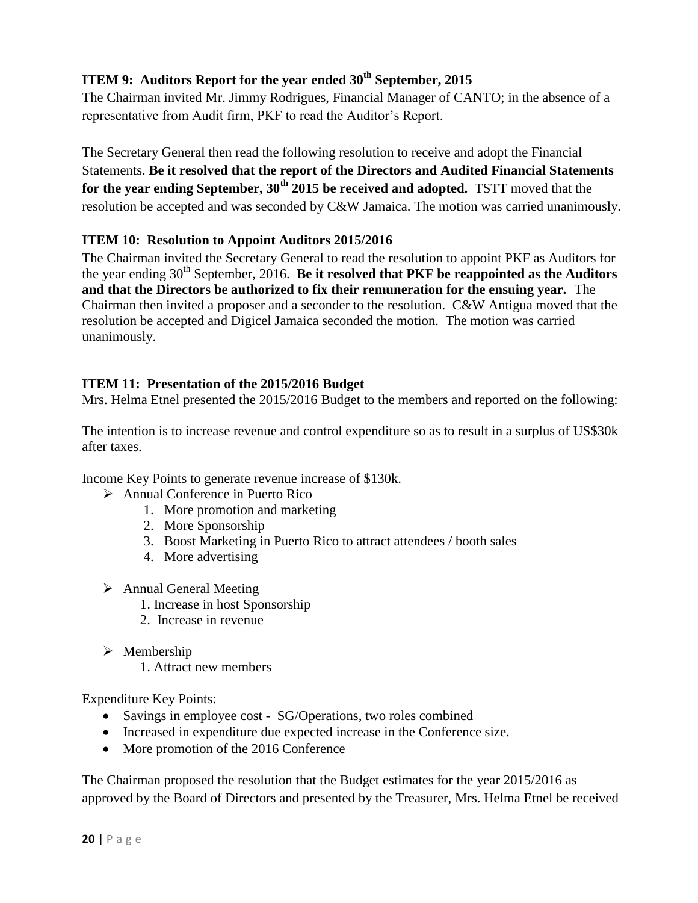# **ITEM 9: Auditors Report for the year ended 30th September, 2015**

The Chairman invited Mr. Jimmy Rodrigues, Financial Manager of CANTO; in the absence of a representative from Audit firm, PKF to read the Auditor's Report.

The Secretary General then read the following resolution to receive and adopt the Financial Statements. **Be it resolved that the report of the Directors and Audited Financial Statements for the year ending September, 30th 2015 be received and adopted.** TSTT moved that the resolution be accepted and was seconded by C&W Jamaica. The motion was carried unanimously.

# **ITEM 10: Resolution to Appoint Auditors 2015/2016**

The Chairman invited the Secretary General to read the resolution to appoint PKF as Auditors for the year ending  $30<sup>th</sup>$  September, 2016. **Be it resolved that PKF be reappointed as the Auditors and that the Directors be authorized to fix their remuneration for the ensuing year.** The Chairman then invited a proposer and a seconder to the resolution. C&W Antigua moved that the resolution be accepted and Digicel Jamaica seconded the motion. The motion was carried unanimously.

# **ITEM 11: Presentation of the 2015/2016 Budget**

Mrs. Helma Etnel presented the 2015/2016 Budget to the members and reported on the following:

The intention is to increase revenue and control expenditure so as to result in a surplus of US\$30k after taxes.

Income Key Points to generate revenue increase of \$130k.

- Annual Conference in Puerto Rico
	- 1. More promotion and marketing
	- 2. More Sponsorship
	- 3. Boost Marketing in Puerto Rico to attract attendees / booth sales
	- 4. More advertising
- $\triangleright$  Annual General Meeting
	- 1. Increase in host Sponsorship
	- 2. Increase in revenue
- $\triangleright$  Membership
	- 1. Attract new members

Expenditure Key Points:

- Savings in employee cost SG/Operations, two roles combined
- Increased in expenditure due expected increase in the Conference size.
- More promotion of the 2016 Conference

The Chairman proposed the resolution that the Budget estimates for the year 2015/2016 as approved by the Board of Directors and presented by the Treasurer, Mrs. Helma Etnel be received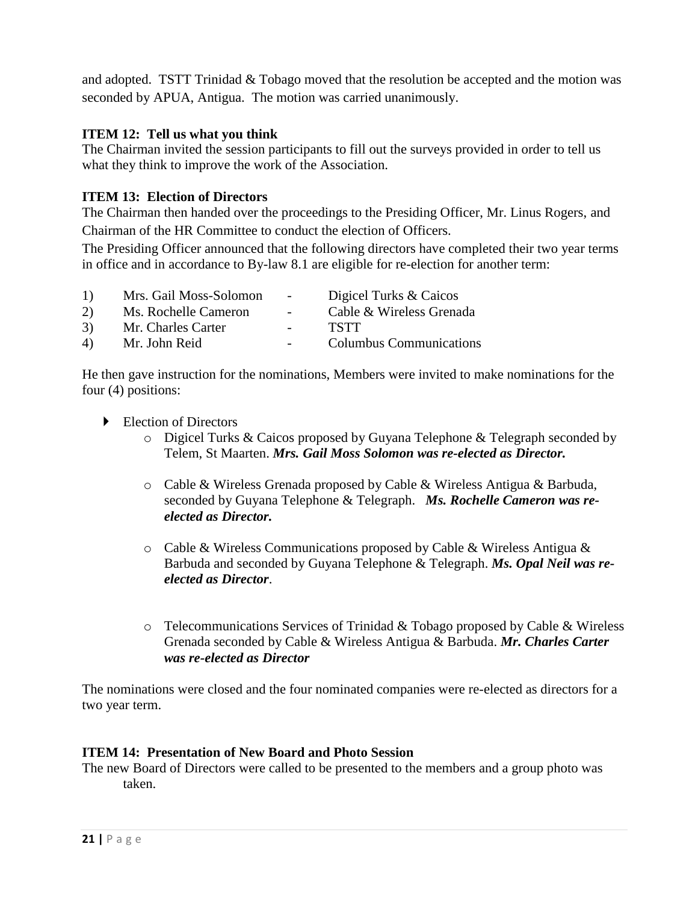and adopted. TSTT Trinidad & Tobago moved that the resolution be accepted and the motion was seconded by APUA, Antigua. The motion was carried unanimously.

## **ITEM 12: Tell us what you think**

The Chairman invited the session participants to fill out the surveys provided in order to tell us what they think to improve the work of the Association.

## **ITEM 13: Election of Directors**

The Chairman then handed over the proceedings to the Presiding Officer, Mr. Linus Rogers, and Chairman of the HR Committee to conduct the election of Officers.

The Presiding Officer announced that the following directors have completed their two year terms in office and in accordance to By-law 8.1 are eligible for re-election for another term:

| 1) | Mrs. Gail Moss-Solomon | $\sim$ 100 $\mu$  | Digicel Turks & Caicos         |
|----|------------------------|-------------------|--------------------------------|
| 2) | Ms. Rochelle Cameron   | $\sim$ 100 $\sim$ | Cable & Wireless Grenada       |
| 3) | Mr. Charles Carter     | $\sim$ 100 $\sim$ | <b>TSTT</b>                    |
| 4) | Mr. John Reid          |                   | <b>Columbus Communications</b> |

He then gave instruction for the nominations, Members were invited to make nominations for the four (4) positions:

- Election of Directors
	- o Digicel Turks & Caicos proposed by Guyana Telephone & Telegraph seconded by Telem, St Maarten. *Mrs. Gail Moss Solomon was re-elected as Director.*
	- o Cable & Wireless Grenada proposed by Cable & Wireless Antigua & Barbuda, seconded by Guyana Telephone & Telegraph. *Ms. Rochelle Cameron was reelected as Director.*
	- $\circ$  Cable & Wireless Communications proposed by Cable & Wireless Antigua & Barbuda and seconded by Guyana Telephone & Telegraph. *Ms. Opal Neil was reelected as Director*.
	- o Telecommunications Services of Trinidad & Tobago proposed by Cable & Wireless Grenada seconded by Cable & Wireless Antigua & Barbuda. *Mr. Charles Carter was re-elected as Director*

The nominations were closed and the four nominated companies were re-elected as directors for a two year term.

#### **ITEM 14: Presentation of New Board and Photo Session**

The new Board of Directors were called to be presented to the members and a group photo was taken.